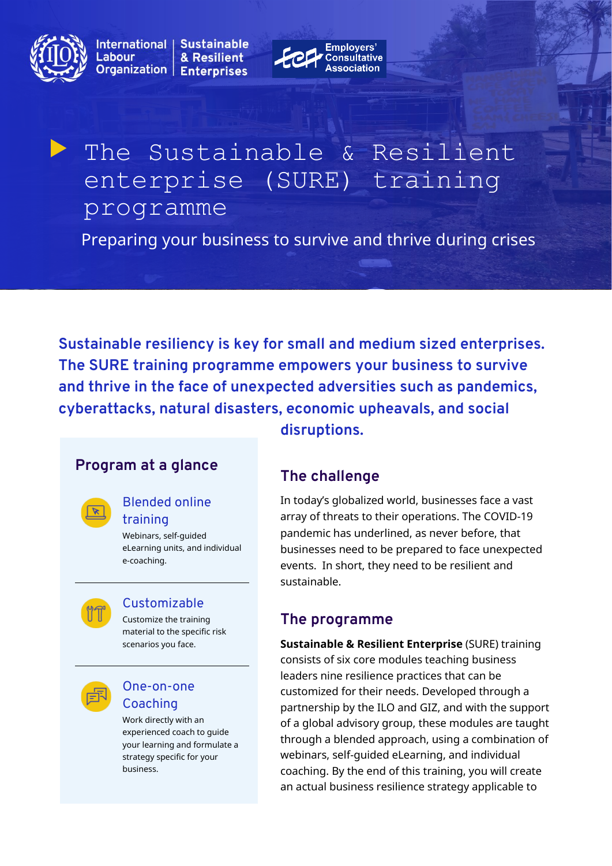

International | **Sustainable** Labour & Resilient Organization | **Enterprises** 



# The Sustainable & Resilient enterprise (SURE) training programme

Preparing your business to survive and thrive during crises

**Sustainable resiliency is key for small and medium sized enterprises. The SURE training programme empowers your business to survive and thrive in the face of unexpected adversities such as pandemics, cyberattacks, natural disasters, economic upheavals, and social disruptions.**

# **Program at a glance**

#### Blended online training

Webinars, self-guided eLearning units, and individual e-coaching.



#### Customizable

Customize the training material to the specific risk scenarios you face.



#### One-on-one Coaching

Work directly with an experienced coach to guide your learning and formulate a strategy specific for your business.

# **The challenge**

In today's globalized world, businesses face a vast array of threats to their operations. The COVID-19 pandemic has underlined, as never before, that businesses need to be prepared to face unexpected events. In short, they need to be resilient and sustainable.

# **The programme**

**Sustainable & Resilient Enterprise** (SURE) training consists of six core modules teaching business leaders nine resilience practices that can be customized for their needs. Developed through a partnership by the ILO and GIZ, and with the support of a global advisory group, these modules are taught through a blended approach, using a combination of webinars, self-guided eLearning, and individual coaching. By the end of this training, you will create an actual business resilience strategy applicable to